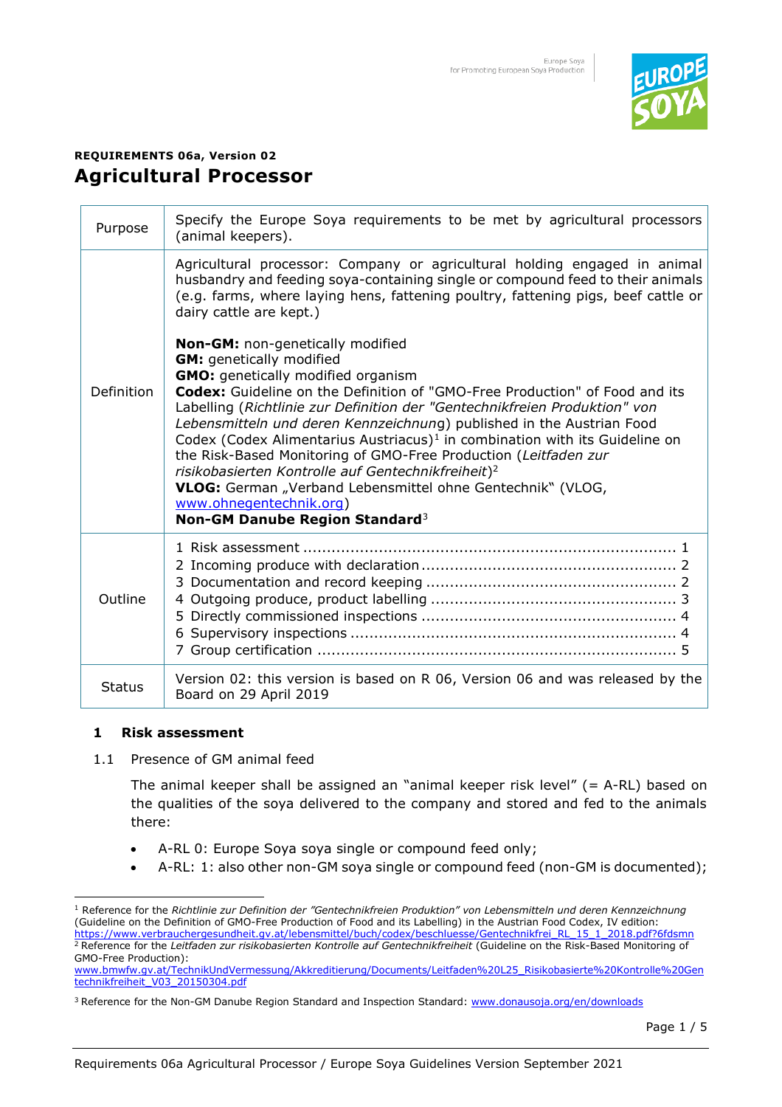

# **REQUIREMENTS 06a, Version 02 Agricultural Processor**

| Purpose       | Specify the Europe Soya requirements to be met by agricultural processors<br>(animal keepers).                                                                                                                                                                                                                                                                                                                                                                                                                                                                                                                                                                                                                                |
|---------------|-------------------------------------------------------------------------------------------------------------------------------------------------------------------------------------------------------------------------------------------------------------------------------------------------------------------------------------------------------------------------------------------------------------------------------------------------------------------------------------------------------------------------------------------------------------------------------------------------------------------------------------------------------------------------------------------------------------------------------|
| Definition    | Agricultural processor: Company or agricultural holding engaged in animal<br>husbandry and feeding soya-containing single or compound feed to their animals<br>(e.g. farms, where laying hens, fattening poultry, fattening pigs, beef cattle or<br>dairy cattle are kept.)                                                                                                                                                                                                                                                                                                                                                                                                                                                   |
|               | Non-GM: non-genetically modified<br><b>GM:</b> genetically modified<br><b>GMO:</b> genetically modified organism<br>Codex: Guideline on the Definition of "GMO-Free Production" of Food and its<br>Labelling (Richtlinie zur Definition der "Gentechnikfreien Produktion" von<br>Lebensmitteln und deren Kennzeichnung) published in the Austrian Food<br>Codex (Codex Alimentarius Austriacus) <sup>1</sup> in combination with its Guideline on<br>the Risk-Based Monitoring of GMO-Free Production (Leitfaden zur<br>risikobasierten Kontrolle auf Gentechnikfreiheit) <sup>2</sup><br>VLOG: German "Verband Lebensmittel ohne Gentechnik" (VLOG,<br>www.ohnegentechnik.org)<br>Non-GM Danube Region Standard <sup>3</sup> |
| Outline       |                                                                                                                                                                                                                                                                                                                                                                                                                                                                                                                                                                                                                                                                                                                               |
| <b>Status</b> | Version 02: this version is based on R 06, Version 06 and was released by the<br>Board on 29 April 2019                                                                                                                                                                                                                                                                                                                                                                                                                                                                                                                                                                                                                       |

# **1 Risk assessment**

1.1 Presence of GM animal feed

The animal keeper shall be assigned an "animal keeper risk level"  $(= A-RL)$  based on the qualities of the soya delivered to the company and stored and fed to the animals there:

- A-RL 0: Europe Soya soya single or compound feed only;
- A-RL: 1: also other non-GM soya single or compound feed (non-GM is documented);

<sup>1</sup> Reference for the *Richtlinie zur Definition der "Gentechnikfreien Produktion" von Lebensmitteln und deren Kennzeichnung*  (Guideline on the Definition of GMO-Free Production of Food and its Labelling) in the Austrian Food Codex, IV edition: [https://www.verbrauchergesundheit.gv.at/lebensmittel/buch/codex/beschluesse/Gentechnikfrei\\_RL\\_15\\_1\\_2018.pdf?6fdsmn](https://www.verbrauchergesundheit.gv.at/lebensmittel/buch/codex/beschluesse/Gentechnikfrei_RL_15_1_2018.pdf?6fdsmn)  <sup>2</sup> Reference for the *Leitfaden zur risikobasierten Kontrolle auf Gentechnikfreiheit* (Guideline on the Risk-Based Monitoring of GMO-Free Production):

[www.bmwfw.gv.at/TechnikUndVermessung/Akkreditierung/Documents/Leitfaden%20L25\\_Risikobasierte%20Kontrolle%20Gen](http://www.bmwfw.gv.at/TechnikUndVermessung/Akkreditierung/Documents/Leitfaden%20L25_Risikobasierte%20Kontrolle%20Gentechnikfreiheit_V03_20150304.pdf) technikfreiheit V03 20150304.pdf

<sup>&</sup>lt;sup>3</sup> Reference for the Non-GM Danube Region Standard and Inspection Standard[: www.donausoja.org/en/downloads](http://www.donausoja.org/en/downloads)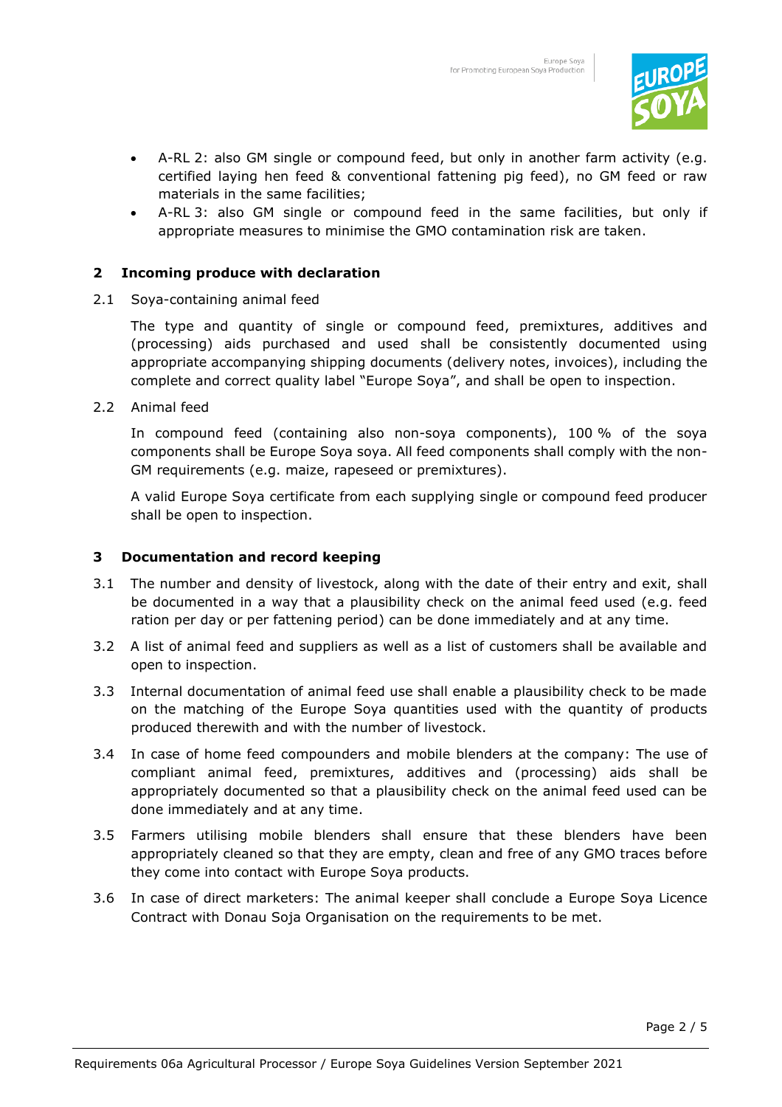

- A-RL 2: also GM single or compound feed, but only in another farm activity (e.g. certified laying hen feed & conventional fattening pig feed), no GM feed or raw materials in the same facilities;
- A-RL 3: also GM single or compound feed in the same facilities, but only if appropriate measures to minimise the GMO contamination risk are taken.

# **2 Incoming produce with declaration**

2.1 Soya-containing animal feed

The type and quantity of single or compound feed, premixtures, additives and (processing) aids purchased and used shall be consistently documented using appropriate accompanying shipping documents (delivery notes, invoices), including the complete and correct quality label "Europe Soya", and shall be open to inspection.

2.2 Animal feed

In compound feed (containing also non-soya components), 100 % of the soya components shall be Europe Soya soya. All feed components shall comply with the non-GM requirements (e.g. maize, rapeseed or premixtures).

A valid Europe Soya certificate from each supplying single or compound feed producer shall be open to inspection.

# **3 Documentation and record keeping**

- 3.1 The number and density of livestock, along with the date of their entry and exit, shall be documented in a way that a plausibility check on the animal feed used (e.g. feed ration per day or per fattening period) can be done immediately and at any time.
- 3.2 A list of animal feed and suppliers as well as a list of customers shall be available and open to inspection.
- 3.3 Internal documentation of animal feed use shall enable a plausibility check to be made on the matching of the Europe Soya quantities used with the quantity of products produced therewith and with the number of livestock.
- 3.4 In case of home feed compounders and mobile blenders at the company: The use of compliant animal feed, premixtures, additives and (processing) aids shall be appropriately documented so that a plausibility check on the animal feed used can be done immediately and at any time.
- 3.5 Farmers utilising mobile blenders shall ensure that these blenders have been appropriately cleaned so that they are empty, clean and free of any GMO traces before they come into contact with Europe Soya products.
- 3.6 In case of direct marketers: The animal keeper shall conclude a Europe Soya Licence Contract with Donau Soja Organisation on the requirements to be met.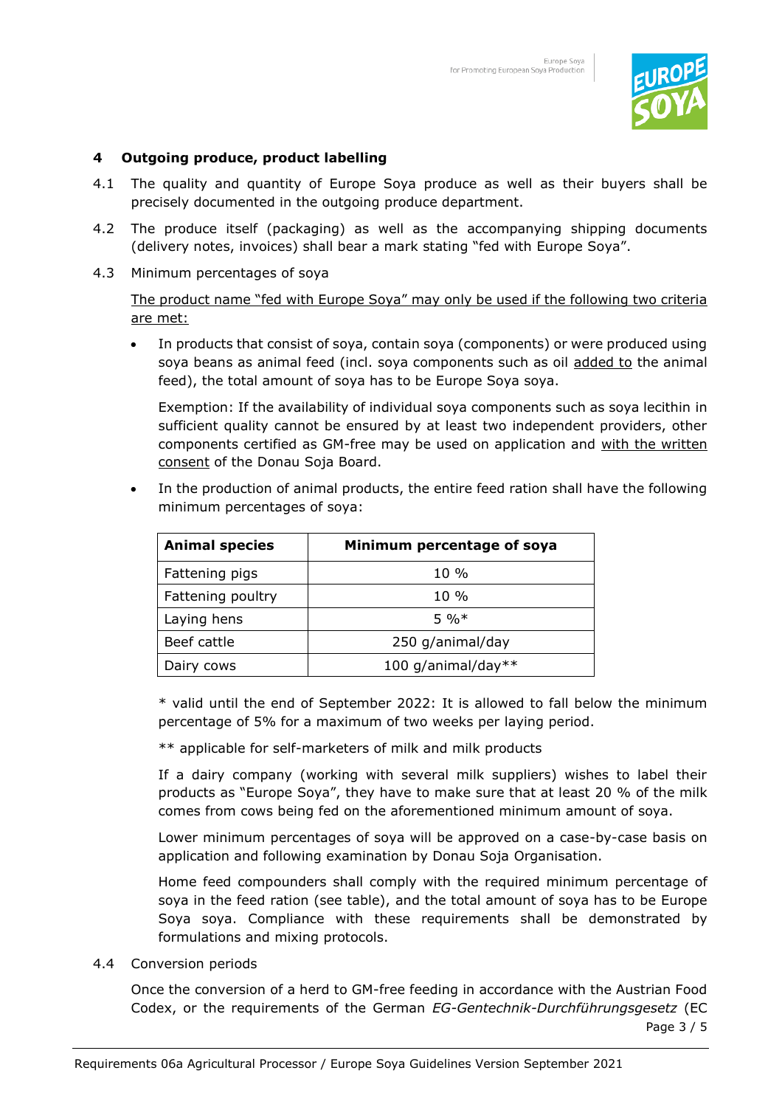

# **4 Outgoing produce, product labelling**

- 4.1 The quality and quantity of Europe Soya produce as well as their buyers shall be precisely documented in the outgoing produce department.
- 4.2 The produce itself (packaging) as well as the accompanying shipping documents (delivery notes, invoices) shall bear a mark stating "fed with Europe Soya".
- 4.3 Minimum percentages of soya

The product name "fed with Europe Soya" may only be used if the following two criteria are met:

• In products that consist of soya, contain soya (components) or were produced using soya beans as animal feed (incl. soya components such as oil added to the animal feed), the total amount of soya has to be Europe Soya soya.

Exemption: If the availability of individual soya components such as soya lecithin in sufficient quality cannot be ensured by at least two independent providers, other components certified as GM-free may be used on application and with the written consent of the Donau Soja Board.

In the production of animal products, the entire feed ration shall have the following minimum percentages of soya:

| <b>Animal species</b> | Minimum percentage of soya |
|-----------------------|----------------------------|
| Fattening pigs        | $10\%$                     |
| Fattening poultry     | $10\%$                     |
| Laying hens           | $5\%*$                     |
| Beef cattle           | 250 g/animal/day           |
| Dairy cows            | 100 g/animal/day**         |

\* valid until the end of September 2022: It is allowed to fall below the minimum percentage of 5% for a maximum of two weeks per laying period.

\*\* applicable for self-marketers of milk and milk products

If a dairy company (working with several milk suppliers) wishes to label their products as "Europe Soya", they have to make sure that at least 20 % of the milk comes from cows being fed on the aforementioned minimum amount of soya.

Lower minimum percentages of soya will be approved on a case-by-case basis on application and following examination by Donau Soja Organisation.

Home feed compounders shall comply with the required minimum percentage of soya in the feed ration (see table), and the total amount of soya has to be Europe Soya soya. Compliance with these requirements shall be demonstrated by formulations and mixing protocols.

4.4 Conversion periods

Once the conversion of a herd to GM-free feeding in accordance with the Austrian Food Codex, or the requirements of the German *EG-Gentechnik-Durchführungsgesetz* (EC

Page 3 / 5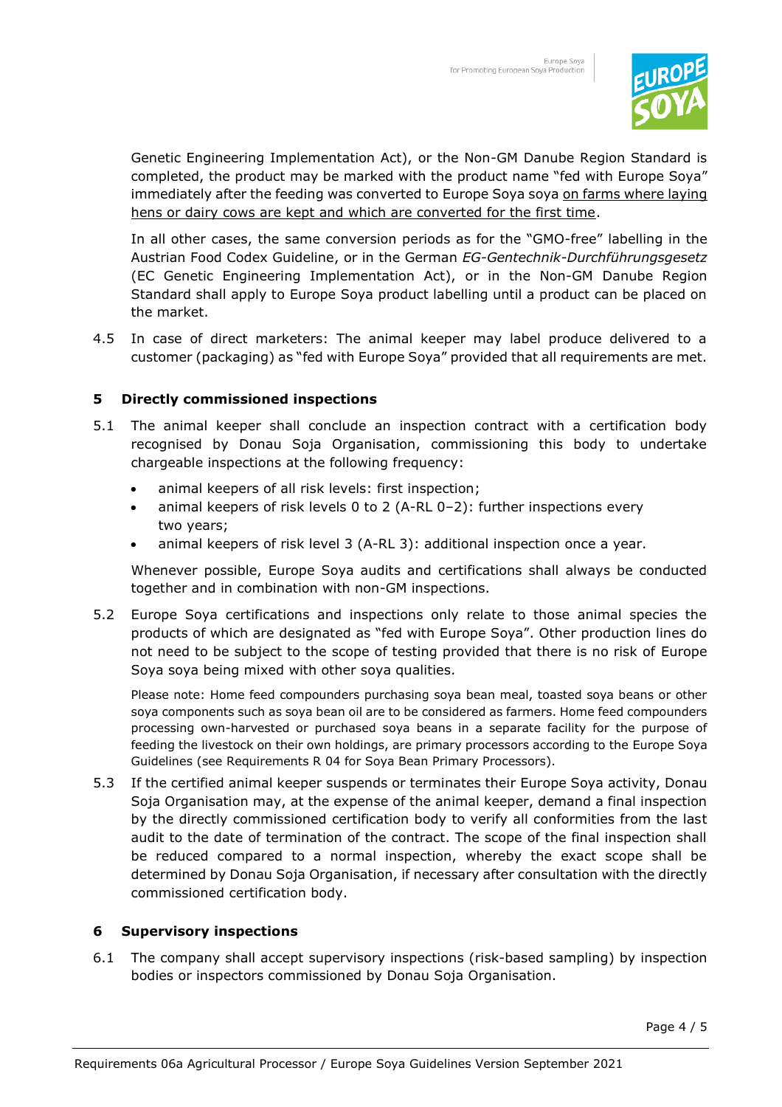

Genetic Engineering Implementation Act), or the Non-GM Danube Region Standard is completed, the product may be marked with the product name "fed with Europe Soya" immediately after the feeding was converted to Europe Soya soya on farms where laying hens or dairy cows are kept and which are converted for the first time.

In all other cases, the same conversion periods as for the "GMO-free" labelling in the Austrian Food Codex Guideline, or in the German *EG-Gentechnik-Durchführungsgesetz* (EC Genetic Engineering Implementation Act), or in the Non-GM Danube Region Standard shall apply to Europe Soya product labelling until a product can be placed on the market.

4.5 In case of direct marketers: The animal keeper may label produce delivered to a customer (packaging) as "fed with Europe Soya" provided that all requirements are met.

# **5 Directly commissioned inspections**

- 5.1 The animal keeper shall conclude an inspection contract with a certification body recognised by Donau Soja Organisation, commissioning this body to undertake chargeable inspections at the following frequency:
	- animal keepers of all risk levels: first inspection;
	- animal keepers of risk levels 0 to 2 (A-RL 0–2): further inspections every two years;
	- animal keepers of risk level 3 (A-RL 3): additional inspection once a year.

Whenever possible, Europe Soya audits and certifications shall always be conducted together and in combination with non-GM inspections.

5.2 Europe Soya certifications and inspections only relate to those animal species the products of which are designated as "fed with Europe Soya". Other production lines do not need to be subject to the scope of testing provided that there is no risk of Europe Soya soya being mixed with other soya qualities.

 Please note: Home feed compounders purchasing soya bean meal, toasted soya beans or other soya components such as soya bean oil are to be considered as farmers. Home feed compounders processing own-harvested or purchased soya beans in a separate facility for the purpose of feeding the livestock on their own holdings, are primary processors according to the Europe Soya Guidelines (see Requirements R 04 for Soya Bean Primary Processors).

5.3 If the certified animal keeper suspends or terminates their Europe Soya activity, Donau Soja Organisation may, at the expense of the animal keeper, demand a final inspection by the directly commissioned certification body to verify all conformities from the last audit to the date of termination of the contract. The scope of the final inspection shall be reduced compared to a normal inspection, whereby the exact scope shall be determined by Donau Soja Organisation, if necessary after consultation with the directly commissioned certification body.

# **6 Supervisory inspections**

6.1 The company shall accept supervisory inspections (risk-based sampling) by inspection bodies or inspectors commissioned by Donau Soja Organisation.